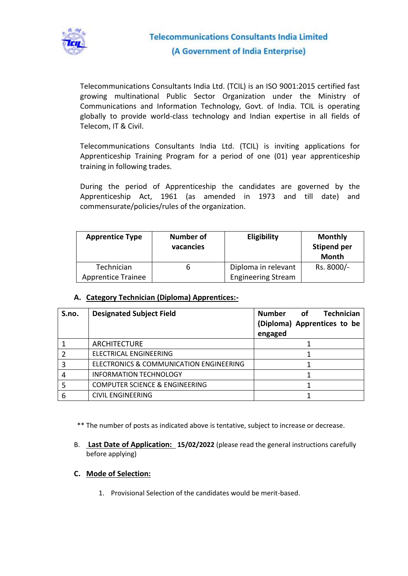

Telecommunications Consultants India Ltd. (TCIL) is an ISO 9001:2015 certified fast growing multinational Public Sector Organization under the Ministry of Communications and Information Technology, Govt. of India. TCIL is operating globally to provide world-class technology and Indian expertise in all fields of Telecom, IT & Civil.

Telecommunications Consultants India Ltd. (TCIL) is inviting applications for Apprenticeship Training Program for a period of one (01) year apprenticeship training in following trades.

During the period of Apprenticeship the candidates are governed by the Apprenticeship Act, 1961 (as amended in 1973 and till date) and commensurate/policies/rules of the organization.

| <b>Apprentice Type</b>                  | <b>Number of</b><br>vacancies | <b>Eligibility</b>                               | <b>Monthly</b><br><b>Stipend per</b><br><b>Month</b> |
|-----------------------------------------|-------------------------------|--------------------------------------------------|------------------------------------------------------|
| Technician<br><b>Apprentice Trainee</b> |                               | Diploma in relevant<br><b>Engineering Stream</b> | Rs. 8000/-                                           |

### **A. Category Technician (Diploma) Apprentices:-**

| S.no. | <b>Designated Subject Field</b>           | Number of<br><b>Technician</b><br>(Diploma) Apprentices to be<br>engaged |
|-------|-------------------------------------------|--------------------------------------------------------------------------|
|       | ARCHITECTURE                              |                                                                          |
|       | ELECTRICAL ENGINEERING                    |                                                                          |
| 3     | ELECTRONICS & COMMUNICATION ENGINEERING   |                                                                          |
|       | <b>INFORMATION TECHNOLOGY</b>             |                                                                          |
|       | <b>COMPUTER SCIENCE &amp; ENGINEERING</b> |                                                                          |
| 6     | <b>CIVIL ENGINEERING</b>                  |                                                                          |

\*\* The number of posts as indicated above is tentative, subject to increase or decrease.

B. **Last Date of Application: 15/02/2022** (please read the general instructions carefully before applying)

### **C. Mode of Selection:**

1. Provisional Selection of the candidates would be merit-based.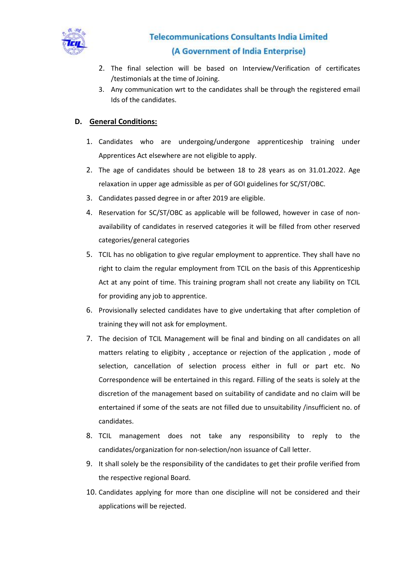

## **Telecommunications Consultants India Limited** (A Government of India Enterprise)

- 2. The final selection will be based on Interview/Verification of certificates /testimonials at the time of Joining.
- 3. Any communication wrt to the candidates shall be through the registered email Ids of the candidates.

### **D. General Conditions:**

- 1. Candidates who are undergoing/undergone apprenticeship training under Apprentices Act elsewhere are not eligible to apply.
- 2. The age of candidates should be between 18 to 28 years as on 31.01.2022. Age relaxation in upper age admissible as per of GOI guidelines for SC/ST/OBC.
- 3. Candidates passed degree in or after 2019 are eligible.
- 4. Reservation for SC/ST/OBC as applicable will be followed, however in case of nonavailability of candidates in reserved categories it will be filled from other reserved categories/general categories
- 5. TCIL has no obligation to give regular employment to apprentice. They shall have no right to claim the regular employment from TCIL on the basis of this Apprenticeship Act at any point of time. This training program shall not create any liability on TCIL for providing any job to apprentice.
- 6. Provisionally selected candidates have to give undertaking that after completion of training they will not ask for employment.
- 7. The decision of TCIL Management will be final and binding on all candidates on all matters relating to eligibity , acceptance or rejection of the application , mode of selection, cancellation of selection process either in full or part etc. No Correspondence will be entertained in this regard. Filling of the seats is solely at the discretion of the management based on suitability of candidate and no claim will be entertained if some of the seats are not filled due to unsuitability /insufficient no. of candidates.
- 8. TCIL management does not take any responsibility to reply to the candidates/organization for non-selection/non issuance of Call letter.
- 9. It shall solely be the responsibility of the candidates to get their profile verified from the respective regional Board.
- 10. Candidates applying for more than one discipline will not be considered and their applications will be rejected.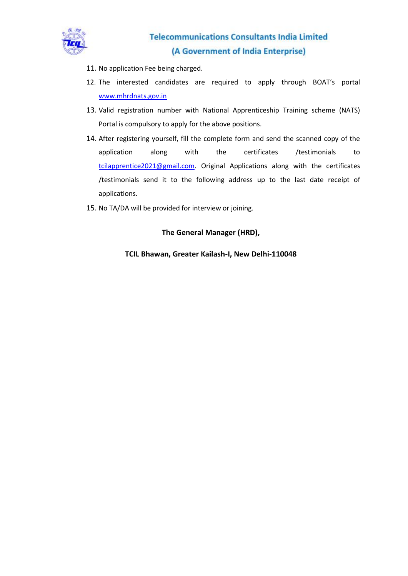

- 11. No application Fee being charged.
- 12. The interested candidates are required to apply through BOAT's portal [www.mhrdnats.gov.in](http://www.mhrdnats.gov.in/)
- 13. Valid registration number with National Apprenticeship Training scheme (NATS) Portal is compulsory to apply for the above positions.
- 14. After registering yourself, fill the complete form and send the scanned copy of the application along with the certificates /testimonials to [tcilapprentice2021@gmail.com.](mailto:tcilapprentice2021@gmail.com) Original Applications along with the certificates /testimonials send it to the following address up to the last date receipt of applications.
- 15. No TA/DA will be provided for interview or joining.

### **The General Manager (HRD),**

### **TCIL Bhawan, Greater Kailash-I, New Delhi-110048**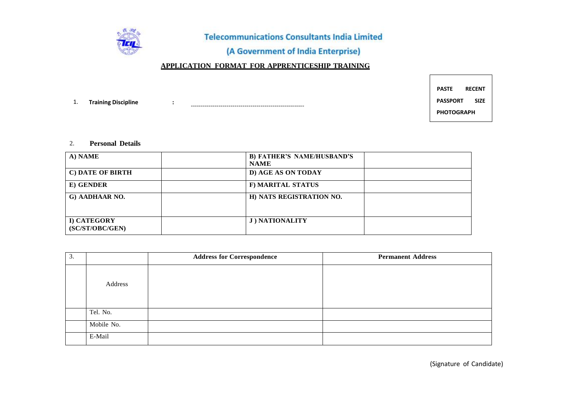

**Telecommunications Consultants India Limited** 

## (A Government of India Enterprise)

### **APPLICATION FORMAT FOR APPRENTICESHIP TRAINING**

1. **Training Discipline :** --------------------------------------------------------- **PASTE RECENT PASSPORT SIZE PHOTOGRAPH**

#### 2. **Personal Details**

| A) NAME                        | <b>B) FATHER'S NAME/HUSBAND'S</b><br><b>NAME</b> |
|--------------------------------|--------------------------------------------------|
| C) DATE OF BIRTH               | D) AGE AS ON TODAY                               |
| E) GENDER                      | F) MARITAL STATUS                                |
| G) AADHAAR NO.                 | H) NATS REGISTRATION NO.                         |
| I) CATEGORY<br>(SC/ST/OBC/GEN) | <b>J) NATIONALITY</b>                            |

| 3. |            | <b>Address for Correspondence</b> | <b>Permanent Address</b> |
|----|------------|-----------------------------------|--------------------------|
|    | Address    |                                   |                          |
|    | Tel. No.   |                                   |                          |
|    | Mobile No. |                                   |                          |
|    | E-Mail     |                                   |                          |

(Signature of Candidate)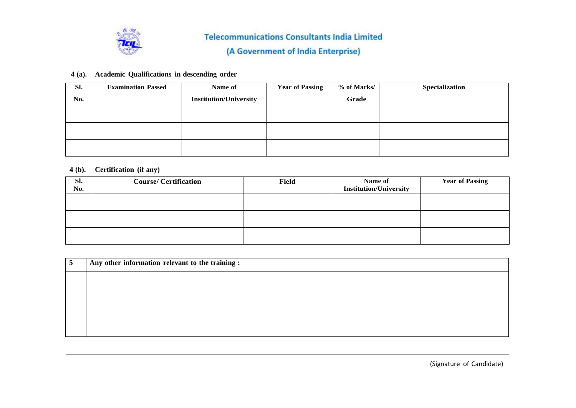

### **4 (a). Academic Qualifications in descending order**

| Sl. | <b>Examination Passed</b> | Name of                       | <b>Year of Passing</b> | % of Marks/ | Specialization |
|-----|---------------------------|-------------------------------|------------------------|-------------|----------------|
| No. |                           | <b>Institution/University</b> |                        | Grade       |                |
|     |                           |                               |                        |             |                |
|     |                           |                               |                        |             |                |
|     |                           |                               |                        |             |                |

### **4 (b). Certification (if any)**

| SI.<br>No. | <b>Course/Certification</b> | <b>Field</b> | Name of<br><b>Institution/University</b> | <b>Year of Passing</b> |
|------------|-----------------------------|--------------|------------------------------------------|------------------------|
|            |                             |              |                                          |                        |
|            |                             |              |                                          |                        |
|            |                             |              |                                          |                        |

| Any other information relevant to the training : |
|--------------------------------------------------|
|                                                  |
|                                                  |
|                                                  |
|                                                  |
|                                                  |

(Signature of Candidate)